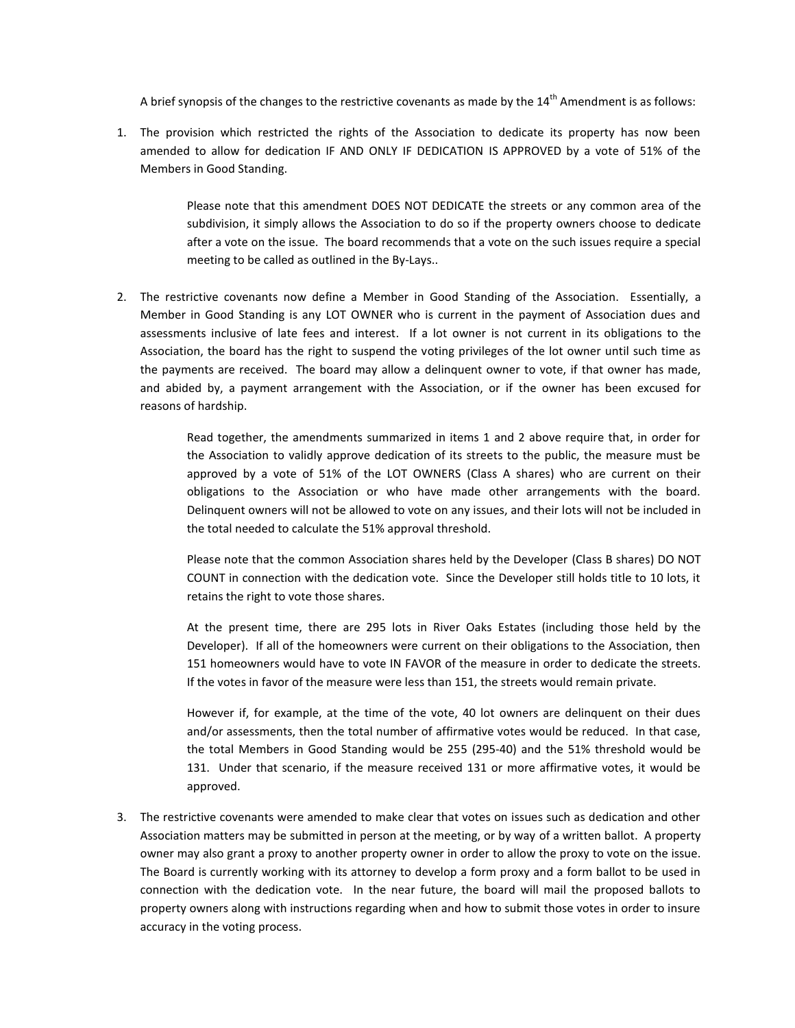A brief synopsis of the changes to the restrictive covenants as made by the  $14<sup>th</sup>$  Amendment is as follows:

1. The provision which restricted the rights of the Association to dedicate its property has now been amended to allow for dedication IF AND ONLY IF DEDICATION IS APPROVED by a vote of 51% of the Members in Good Standing.

> Please note that this amendment DOES NOT DEDICATE the streets or any common area of the subdivision, it simply allows the Association to do so if the property owners choose to dedicate after a vote on the issue. The board recommends that a vote on the such issues require a special meeting to be called as outlined in the By-Lays..

2. The restrictive covenants now define a Member in Good Standing of the Association. Essentially, a Member in Good Standing is any LOT OWNER who is current in the payment of Association dues and assessments inclusive of late fees and interest. If a lot owner is not current in its obligations to the Association, the board has the right to suspend the voting privileges of the lot owner until such time as the payments are received. The board may allow a delinquent owner to vote, if that owner has made, and abided by, a payment arrangement with the Association, or if the owner has been excused for reasons of hardship.

> Read together, the amendments summarized in items 1 and 2 above require that, in order for the Association to validly approve dedication of its streets to the public, the measure must be approved by a vote of 51% of the LOT OWNERS (Class A shares) who are current on their obligations to the Association or who have made other arrangements with the board. Delinquent owners will not be allowed to vote on any issues, and their lots will not be included in the total needed to calculate the 51% approval threshold.

> Please note that the common Association shares held by the Developer (Class B shares) DO NOT COUNT in connection with the dedication vote. Since the Developer still holds title to 10 lots, it retains the right to vote those shares.

> At the present time, there are 295 lots in River Oaks Estates (including those held by the Developer). If all of the homeowners were current on their obligations to the Association, then 151 homeowners would have to vote IN FAVOR of the measure in order to dedicate the streets. If the votes in favor of the measure were less than 151, the streets would remain private.

> However if, for example, at the time of the vote, 40 lot owners are delinquent on their dues and/or assessments, then the total number of affirmative votes would be reduced. In that case, the total Members in Good Standing would be 255 (295-40) and the 51% threshold would be 131. Under that scenario, if the measure received 131 or more affirmative votes, it would be approved.

3. The restrictive covenants were amended to make clear that votes on issues such as dedication and other Association matters may be submitted in person at the meeting, or by way of a written ballot. A property owner may also grant a proxy to another property owner in order to allow the proxy to vote on the issue. The Board is currently working with its attorney to develop a form proxy and a form ballot to be used in connection with the dedication vote. In the near future, the board will mail the proposed ballots to property owners along with instructions regarding when and how to submit those votes in order to insure accuracy in the voting process.